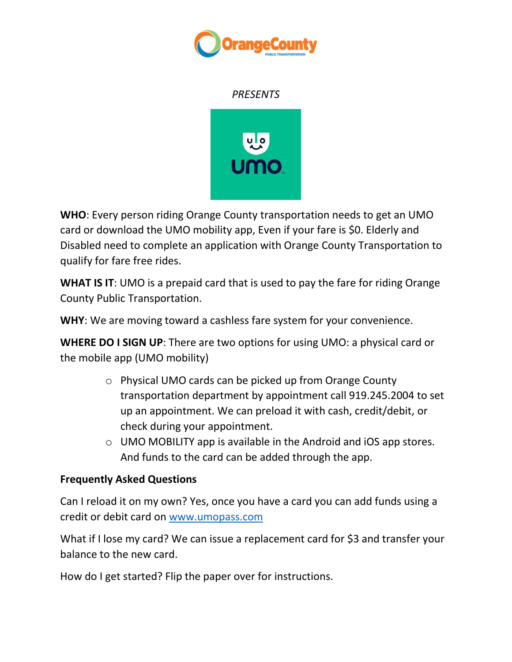

## *PRESENTS*



**WHO**: Every person riding Orange County transportation needs to get an UMO card or download the UMO mobility app, Even if your fare is \$0. Elderly and Disabled need to complete an application with Orange County Transportation to qualify for fare free rides.

**WHAT IS IT**: UMO is a prepaid card that is used to pay the fare for riding Orange County Public Transportation.

**WHY**: We are moving toward a cashless fare system for your convenience.

**WHERE DO I SIGN UP**: There are two options for using UMO: a physical card or the mobile app (UMO mobility)

- o Physical UMO cards can be picked up from Orange County transportation department by appointment call 919.245.2004 to set up an appointment. We can preload it with cash, credit/debit, or check during your appointment.
- o UMO MOBILITY app is available in the Android and iOS app stores. And funds to the card can be added through the app.

## **Frequently Asked Questions**

Can I reload it on my own? Yes, once you have a card you can add funds using a credit or debit card on [www.umopass.com](http://www.umopass.com/)

What if I lose my card? We can issue a replacement card for \$3 and transfer your balance to the new card.

How do I get started? Flip the paper over for instructions.